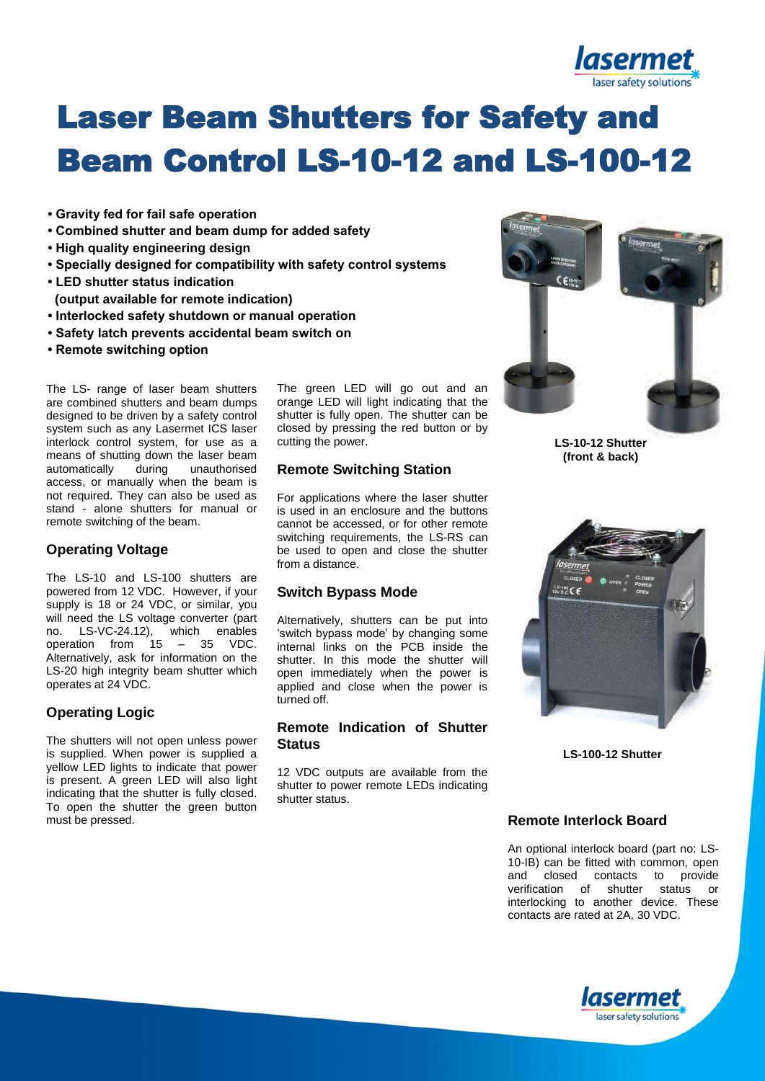

# Laser Beam Shutters for Safety and Beam Control LS-10-12 and LS-100-12

- **Gravity fed for fail safe operation**
- **Combined shutter and beam dump for added safety**
- **High quality engineering design**
- **Specially designed for compatibility with safety control systems**
- **LED shutter status indication**
- **(output available for remote indication)**
- **Interlocked safety shutdown or manual operation**
- **Safety latch prevents accidental beam switch on**
- **Remote switching option**

The LS- range of laser beam shutters are combined shutters and beam dumps designed to be driven by a safety control system such as any Lasermet ICS laser interlock control system, for use as a means of shutting down the laser beam automatically during unauthorised access, or manually when the beam is not required. They can also be used as stand - alone shutters for manual or remote switching of the beam.

## **Operating Voltage**

The LS-10 and LS-100 shutters are powered from 12 VDC. However, if your supply is 18 or 24 VDC, or similar, you will need the LS voltage converter (part no. LS-VC-24.12), which enables operation from 15 – 35 VDC. Alternatively, ask for information on the LS-20 high integrity beam shutter which operates at 24 VDC.

## **Operating Logic**

The shutters will not open unless power is supplied. When power is supplied a yellow LED lights to indicate that power is present. A green LED will also light indicating that the shutter is fully closed. To open the shutter the green button must be pressed.

The green LED will go out and an orange LED will light indicating that the shutter is fully open. The shutter can be closed by pressing the red button or by cutting the power.

#### **Remote Switching Station**

For applications where the laser shutter is used in an enclosure and the buttons cannot be accessed, or for other remote switching requirements, the LS-RS can be used to open and close the shutter from a distance.

#### **Switch Bypass Mode**

Alternatively, shutters can be put into 'switch bypass mode' by changing some internal links on the PCB inside the shutter. In this mode the shutter will open immediately when the power is applied and close when the power is turned off.

### **Remote Indication of Shutter Status**

12 VDC outputs are available from the shutter to power remote LEDs indicating shutter status.



**LS-10-12 Shutter (front & back)**



**LS-100-12 Shutter**

## **Remote Interlock Board**

An optional interlock board (part no: LS-10-IB) can be fitted with common, open and closed contacts to provide verification of shutter status or interlocking to another device. These contacts are rated at 2A, 30 VDC.